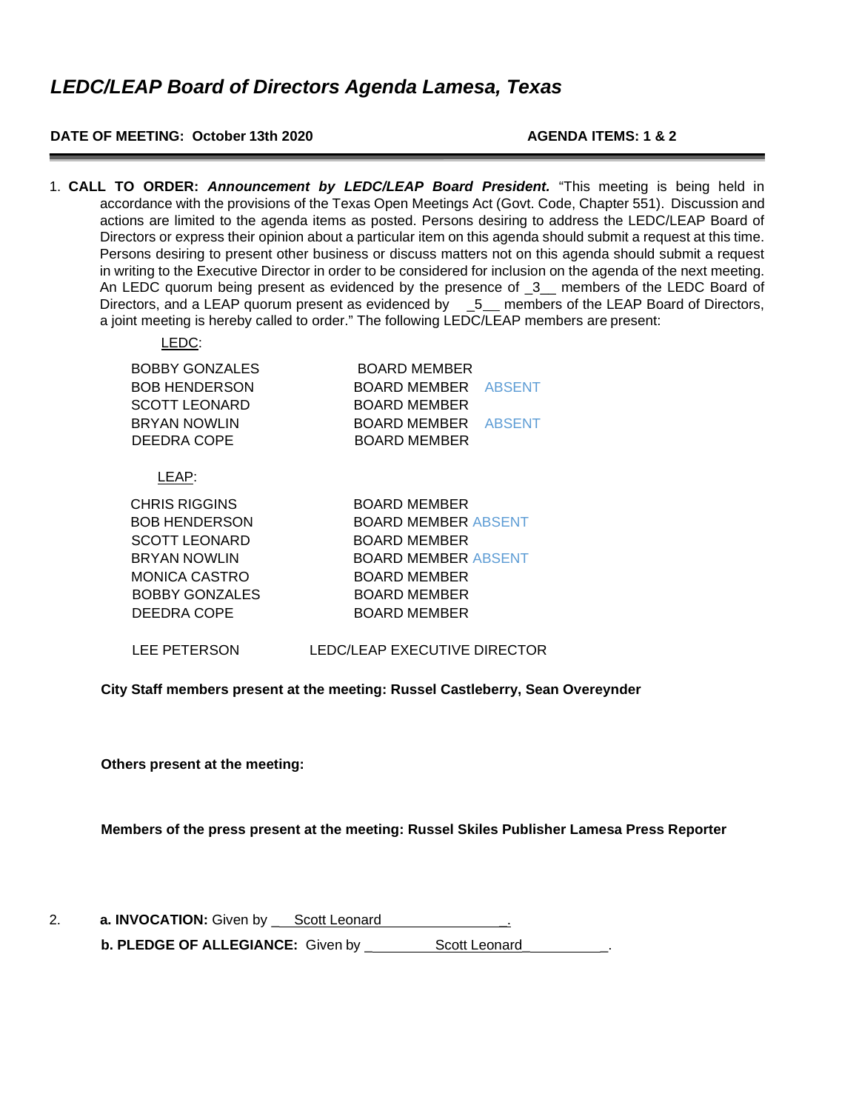### **DATE OF MEETING: October 13th 2020 AGENDA ITEMS: 1 & 2**

1. **CALL TO ORDER:** *Announcement by LEDC/LEAP Board President.* "This meeting is being held in accordance with the provisions of the Texas Open Meetings Act (Govt. Code, Chapter 551). Discussion and actions are limited to the agenda items as posted. Persons desiring to address the LEDC/LEAP Board of Directors or express their opinion about a particular item on this agenda should submit a request at this time. Persons desiring to present other business or discuss matters not on this agenda should submit a request in writing to the Executive Director in order to be considered for inclusion on the agenda of the next meeting. An LEDC quorum being present as evidenced by the presence of 3 members of the LEDC Board of Directors, and a LEAP quorum present as evidenced by \_5\_ members of the LEAP Board of Directors, a joint meeting is hereby called to order." The following LEDC/LEAP members are present:

| <b>BOBBY GONZALES</b> | BOARD MEMBER               |  |
|-----------------------|----------------------------|--|
| <b>BOB HENDERSON</b>  | <b>BOARD MEMBER ABSENT</b> |  |
| <b>SCOTT LEONARD</b>  | <b>BOARD MEMBER</b>        |  |
| <b>BRYAN NOWLIN</b>   | <b>BOARD MEMBER ABSENT</b> |  |
| DEEDRA COPE           | <b>BOARD MEMBER</b>        |  |
|                       |                            |  |

LEAP:

LEDC:

| <b>BOARD MEMBER</b>        |
|----------------------------|
| <b>BOARD MEMBER ABSENT</b> |
| <b>BOARD MEMBER</b>        |
| <b>BOARD MEMBER ABSENT</b> |
| <b>BOARD MEMBER</b>        |
| <b>BOARD MEMBER</b>        |
| <b>BOARD MEMBER</b>        |
|                            |

LEE PETERSON LEDC/LEAP EXECUTIVE DIRECTOR

**City Staff members present at the meeting: Russel Castleberry, Sean Overeynder**

**Others present at the meeting:**

**Members of the press present at the meeting: Russel Skiles Publisher Lamesa Press Reporter**

| Ζ. | a. INVOCATION: Given by | Scott Leonard |  |
|----|-------------------------|---------------|--|
|    |                         |               |  |

**b. PLEDGE OF ALLEGIANCE:** Given by \_ Scott Leonard\_ \_.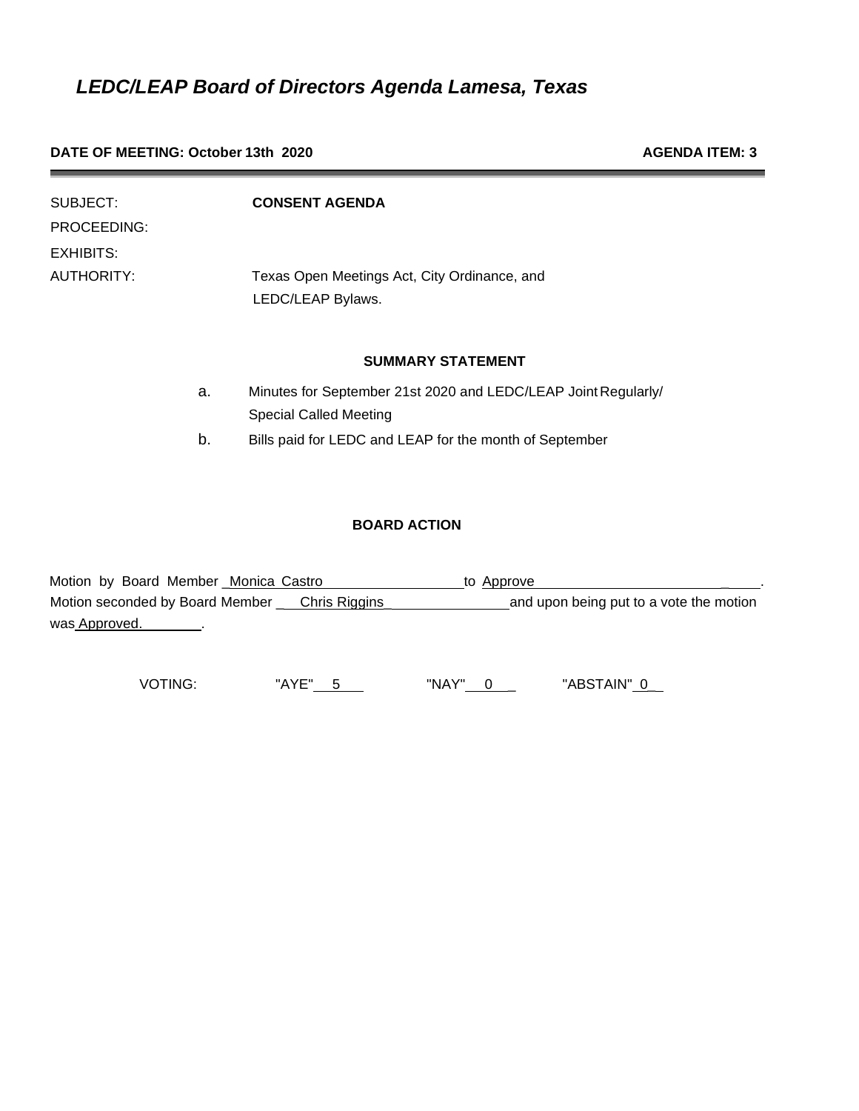#### **DATE OF MEETING: October 13th 2020 AGENDA ITEM: 3 AGENDA ITEM: 3**

| SUBJECT:<br>PROCEEDING: |    | <b>CONSENT AGENDA</b>                                             |
|-------------------------|----|-------------------------------------------------------------------|
| <b>EXHIBITS:</b>        |    |                                                                   |
| AUTHORITY:              |    | Texas Open Meetings Act, City Ordinance, and<br>LEDC/LEAP Bylaws. |
|                         |    | <b>SUMMARY STATEMENT</b>                                          |
|                         | a. | Minutes for September 21st 2020 and LEDC/LEAP Joint Regularly/    |
|                         |    | <b>Special Called Meeting</b>                                     |
|                         | b. | Bills paid for LEDC and LEAP for the month of September           |

## **BOARD ACTION**

| Motion by Board Member Monica Castro          | to Approve                              |
|-----------------------------------------------|-----------------------------------------|
| Motion seconded by Board Member Chris Riggins | and upon being put to a vote the motion |
| was Approved.                                 |                                         |

VOTING: "AYE"\_\_\_5\_\_\_\_\_\_\_\_\_\_\_\_\_ "NAY"\_\_\_0\_\_\_\_\_\_\_\_\_\_\_ "ABSTAIN"\_0\_\_\_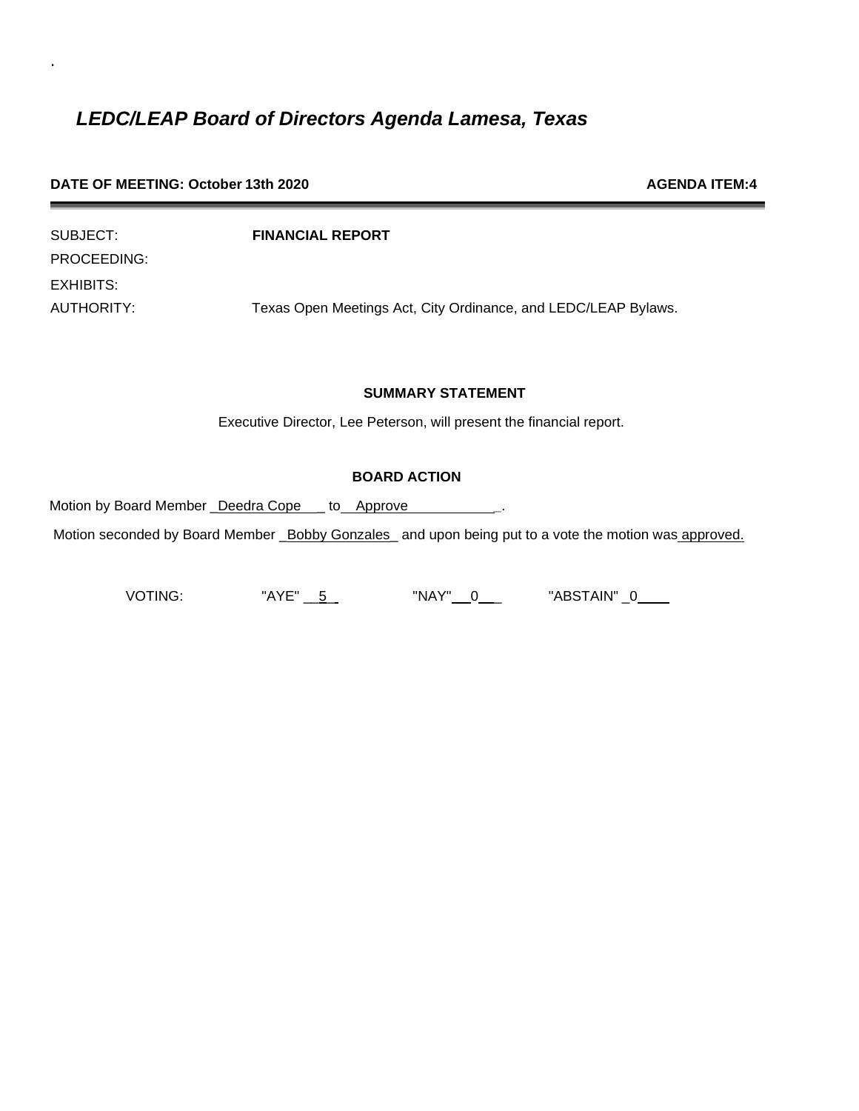.

| SUBJECT:    | <b>FINANCIAL REPORT</b>                                        |
|-------------|----------------------------------------------------------------|
| PROCEEDING: |                                                                |
| EXHIBITS:   |                                                                |
| AUTHORITY:  | Texas Open Meetings Act, City Ordinance, and LEDC/LEAP Bylaws. |

## **SUMMARY STATEMENT**

Executive Director, Lee Peterson, will present the financial report.

### **BOARD ACTION**

Motion by Board Member \_Deedra Cope \_\_ to \_\_Approve **\_\_\_\_\_\_\_\_\_\_\_**.

Motion seconded by Board Member \_Bobby Gonzales\_ and upon being put to a vote the motion was approved.

VOTING: "AYE" $\underline{5}$  "NAY" $\underline{0}$  "ABSTAIN" $\underline{0}$ 

**DATE OF MEETING: October 13th 2020 AGENDA ITEM:4**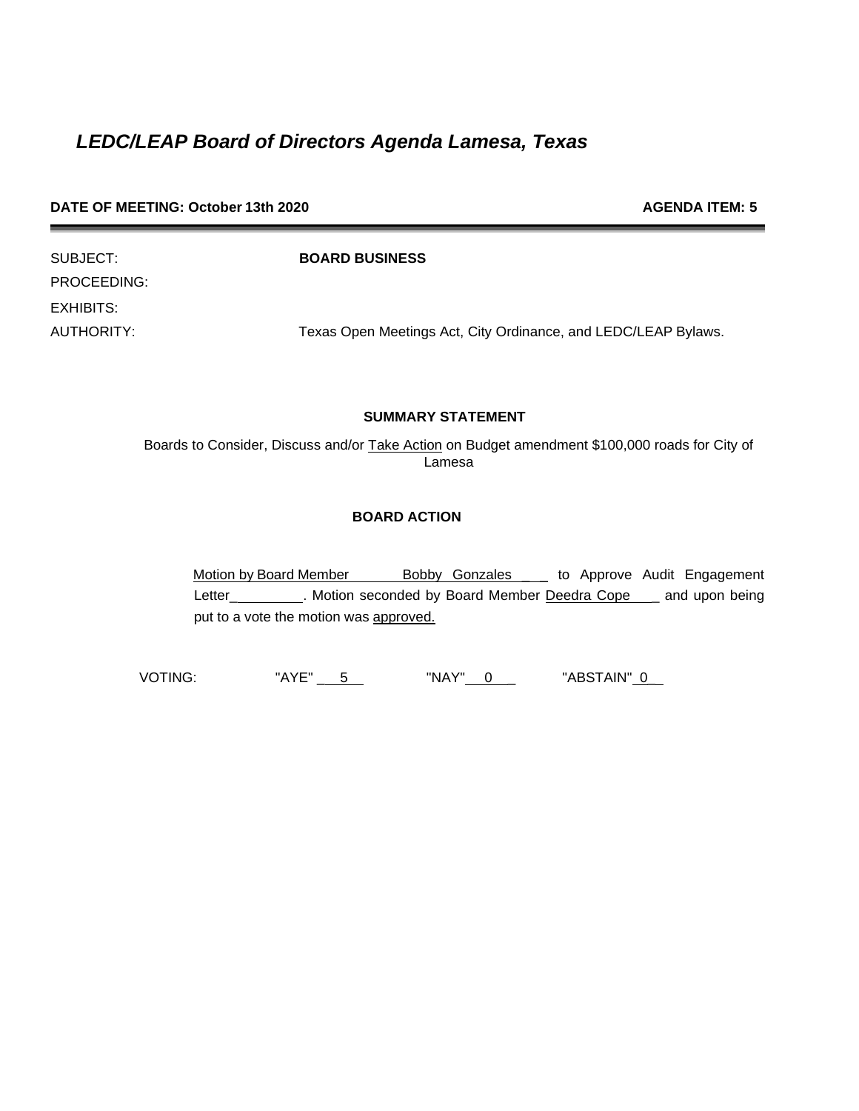| DATE OF MEETING: October 13th 2020 | <b>AGENDA ITEM: 5</b> |
|------------------------------------|-----------------------|
|------------------------------------|-----------------------|

| SUBJECT:         |
|------------------|
| PROCEEDING:      |
| <b>EXHIBITS:</b> |
| AUTHORITY:       |

SUBJECT: **BOARD BUSINESS**

Texas Open Meetings Act, City Ordinance, and LEDC/LEAP Bylaws.

### **SUMMARY STATEMENT**

Boards to Consider, Discuss and/or Take Action on Budget amendment \$100,000 roads for City of Lamesa

## **BOARD ACTION**

Motion by Board Member Bobby Gonzales \_ to Approve Audit Engagement Letter\_\_\_\_\_\_\_\_\_\_. Motion seconded by Board Member Deedra Cope \_\_ and upon being put to a vote the motion was approved.

VOTING: "AYE" \_ 5 "NAY" 0 \_ "ABSTAIN" 0\_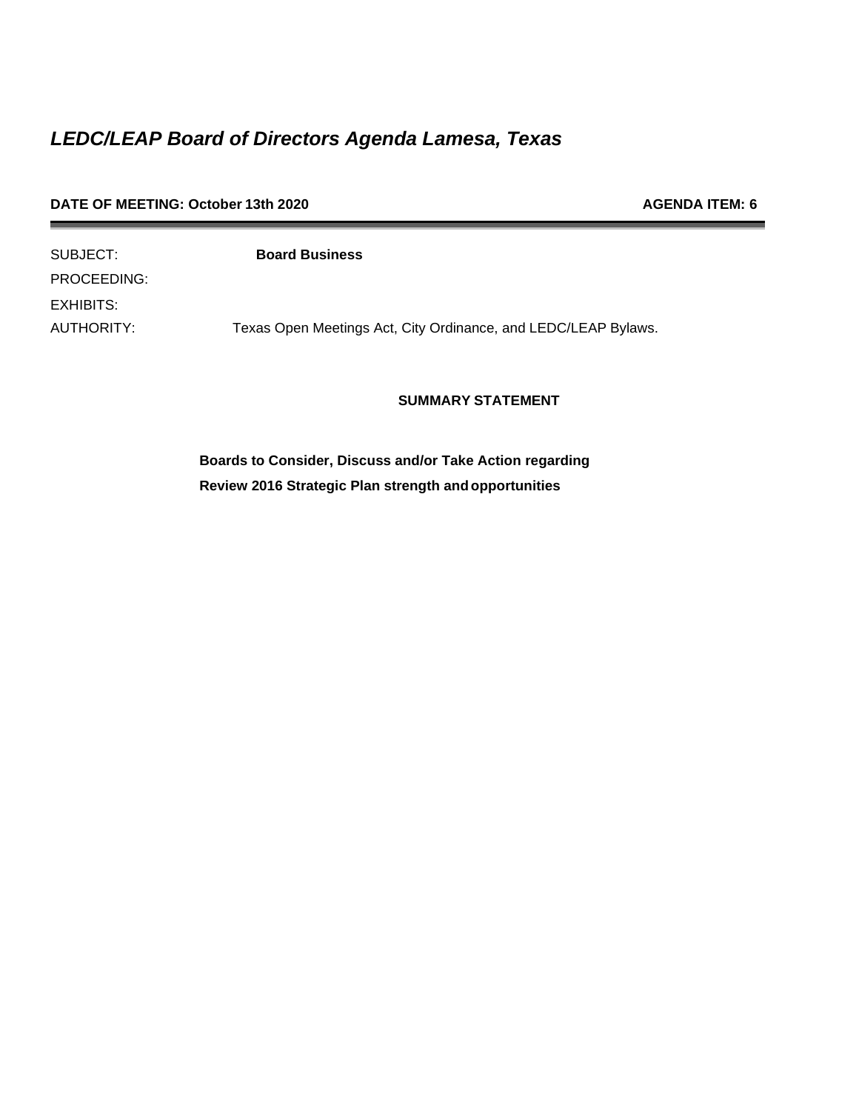| DATE OF MEETING: October 13th 2020 | <b>AGENDA ITEM: 6</b>                                          |  |
|------------------------------------|----------------------------------------------------------------|--|
| SUBJECT:                           | <b>Board Business</b>                                          |  |
| PROCEEDING:                        |                                                                |  |
| EXHIBITS:                          |                                                                |  |
| AUTHORITY:                         | Texas Open Meetings Act, City Ordinance, and LEDC/LEAP Bylaws. |  |

**SUMMARY STATEMENT**

**Boards to Consider, Discuss and/or Take Action regarding Review 2016 Strategic Plan strength andopportunities**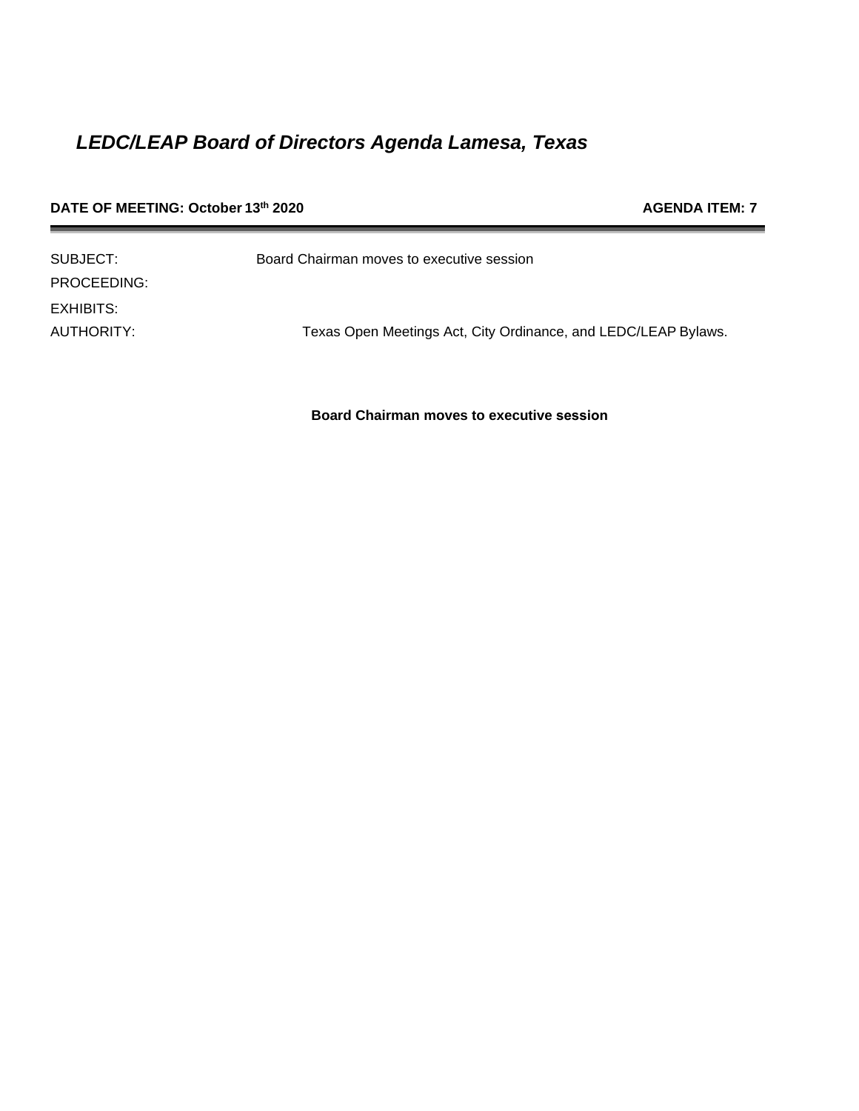| DATE OF MEETING: October 13th 2020 |                                                                | <b>AGENDA ITEM: 7</b> |
|------------------------------------|----------------------------------------------------------------|-----------------------|
| SUBJECT:                           | Board Chairman moves to executive session                      |                       |
| PROCEEDING:                        |                                                                |                       |
| <b>EXHIBITS:</b>                   |                                                                |                       |
| AUTHORITY:                         | Texas Open Meetings Act, City Ordinance, and LEDC/LEAP Bylaws. |                       |

**Board Chairman moves to executive session**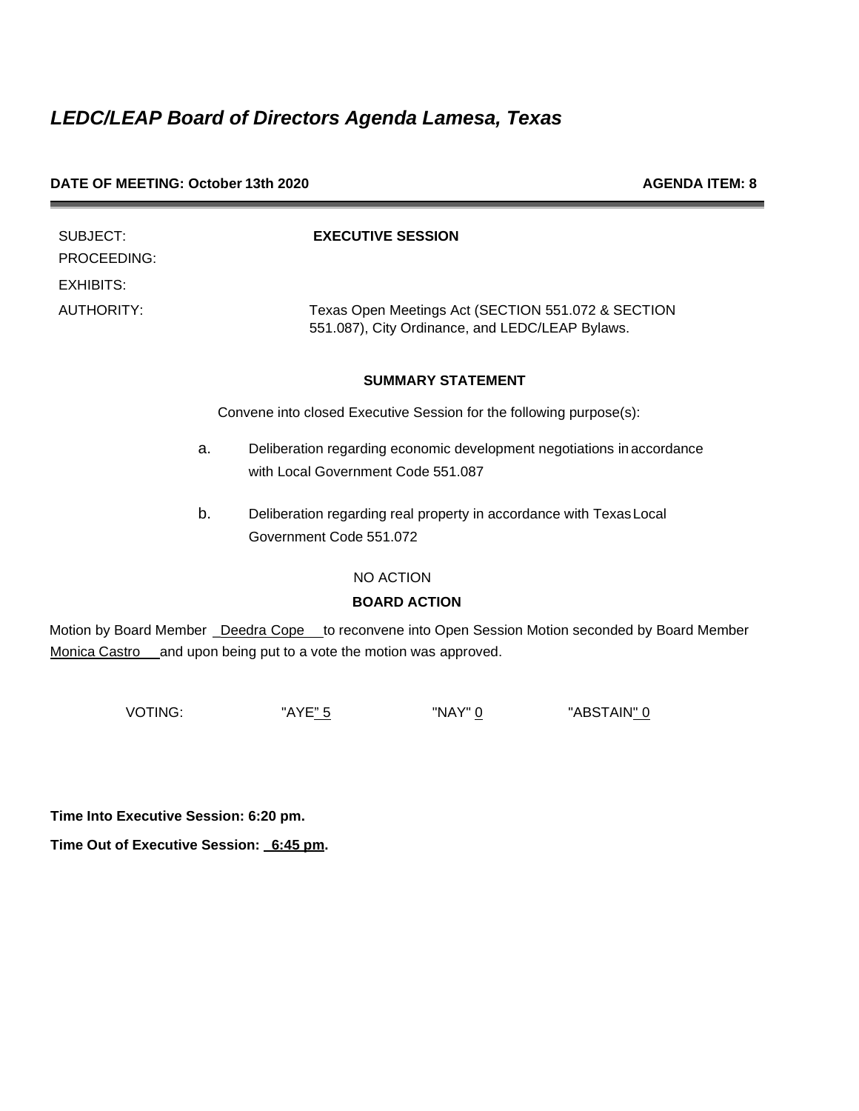| DATE OF MEETING: October 13th 2020 |  |
|------------------------------------|--|
|------------------------------------|--|

**AGENDA ITEM: 8** 

| SUBJECT:<br>PROCEEDING: | <b>EXECUTIVE SESSION</b>                                                                              |
|-------------------------|-------------------------------------------------------------------------------------------------------|
| EXHIBITS:               |                                                                                                       |
| AUTHORITY:              | Texas Open Meetings Act (SECTION 551.072 & SECTION<br>551.087), City Ordinance, and LEDC/LEAP Bylaws. |

### **SUMMARY STATEMENT**

Convene into closed Executive Session for the following purpose(s):

- a. Deliberation regarding economic development negotiations inaccordance with Local Government Code 551.087
- b. Deliberation regarding real property in accordance with TexasLocal Government Code 551.072

NO ACTION

## **BOARD ACTION**

Motion by Board Member \_Deedra Cope \_to reconvene into Open Session Motion seconded by Board Member Monica Castro and upon being put to a vote the motion was approved.

VOTING: "AYE<u>" 5</u> "NAY" <u>0</u> "ABSTAIN<u>" 0</u>

**Time Into Executive Session: 6:20 pm.** 

**Time Out of Executive Session: \_6:45 pm.**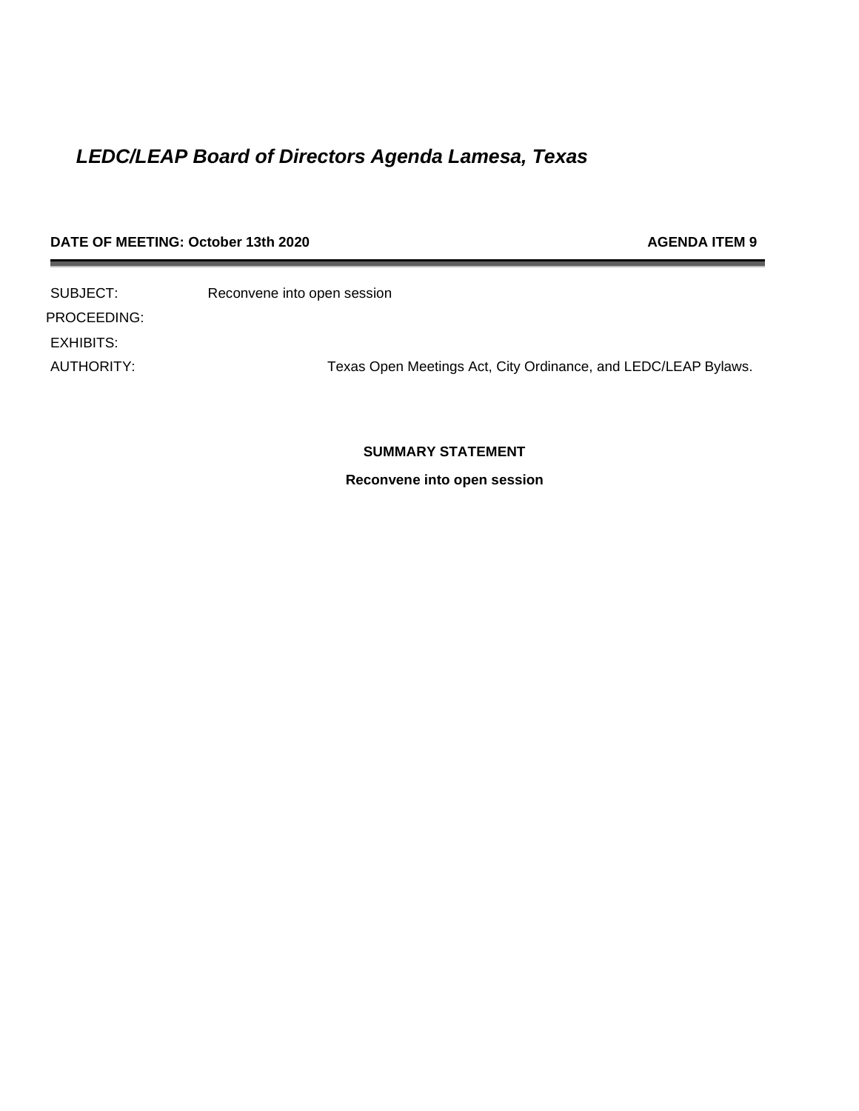## **DATE OF MEETING: October 13th 2020 AGENDA ITEM 9**

SUBJECT: Reconvene into open session PROCEEDING: EXHIBITS: AUTHORITY: Texas Open Meetings Act, City Ordinance, and LEDC/LEAP Bylaws.

## **SUMMARY STATEMENT**

**Reconvene into open session**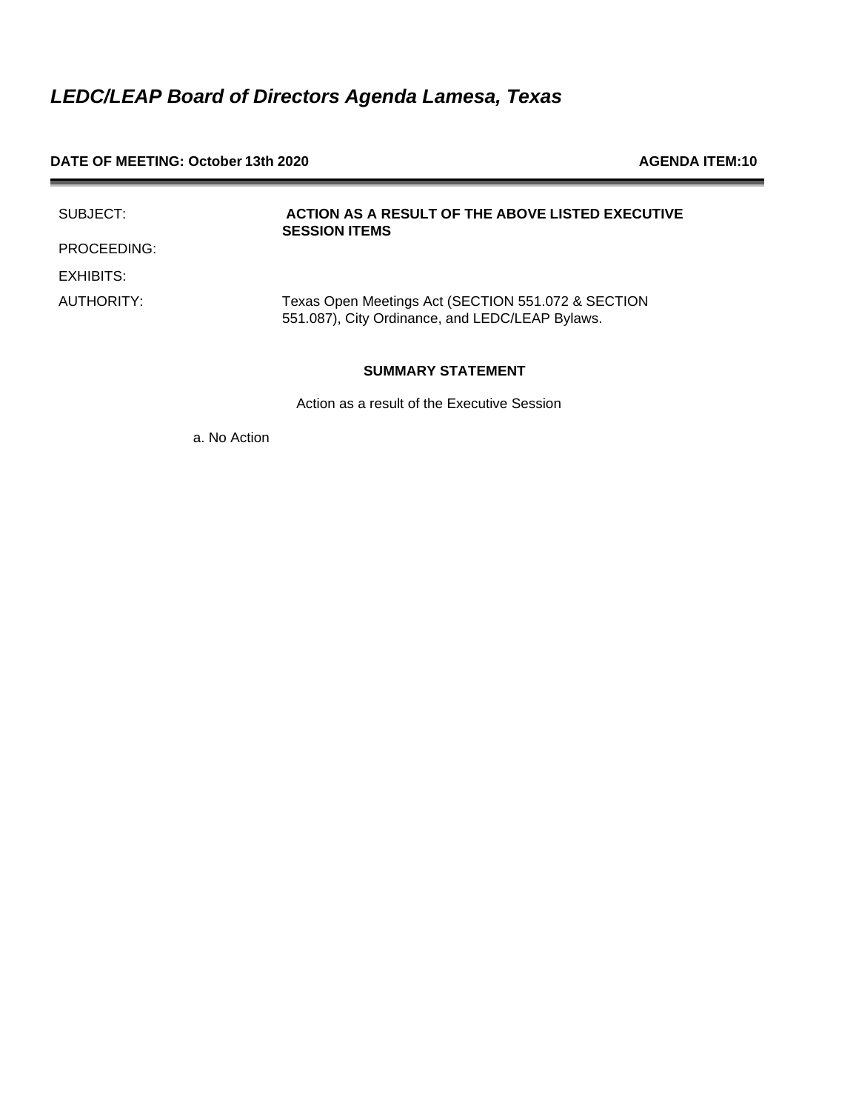#### **DATE OF MEETING: October 13th 2020 AGENDA ITEM:10**

| SUBJECT:    | ACTION AS A RESULT OF THE ABOVE LISTED EXECUTIVE<br><b>SESSION ITEMS</b>                              |
|-------------|-------------------------------------------------------------------------------------------------------|
| PROCEEDING: |                                                                                                       |
| EXHIBITS:   |                                                                                                       |
| AUTHORITY:  | Texas Open Meetings Act (SECTION 551.072 & SECTION<br>551.087), City Ordinance, and LEDC/LEAP Bylaws. |

## **SUMMARY STATEMENT**

Action as a result of the Executive Session

a. No Action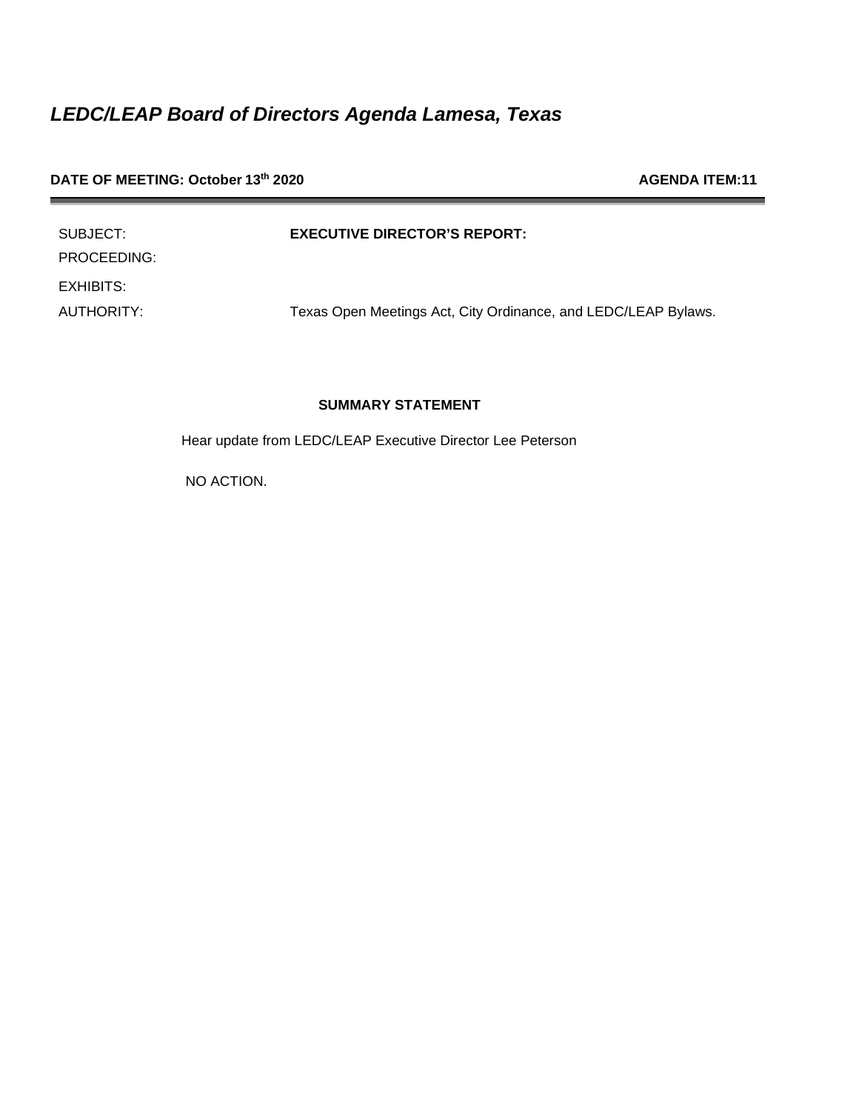## **DATE OF MEETING: October 13<sup>th</sup> 2020 AGENDA ITEM:11**

| SUBJECT:    | <b>EXECUTIVE DIRECTOR'S REPORT:</b>          |
|-------------|----------------------------------------------|
| PROCEEDING: |                                              |
| EXHIBITS:   |                                              |
| AUTHORITY:  | Texas Open Meetings Act, City Ordinance, and |

LEDC/LEAP Bylaws.

## **SUMMARY STATEMENT**

Hear update from LEDC/LEAP Executive Director Lee Peterson

NO ACTION.